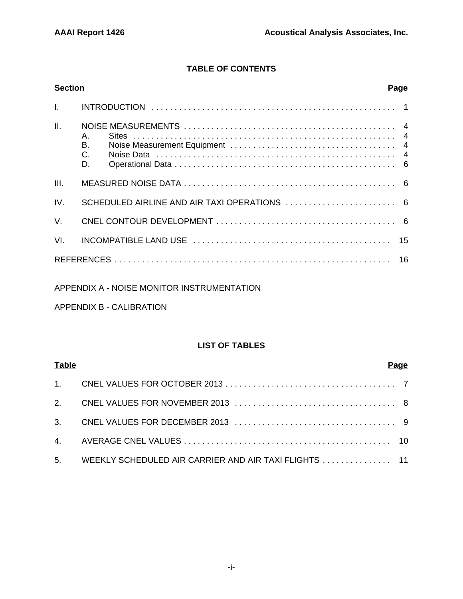# **TABLE OF CONTENTS**

| <b>Section</b> |                      | <u>Page</u> |
|----------------|----------------------|-------------|
| $\mathbf{L}$   |                      |             |
| II.            | A.<br>Β.<br>C.<br>D. |             |
| III.           |                      |             |
| IV.            |                      |             |
| $V_{\cdot}$    |                      |             |
| VI.            |                      |             |
|                |                      |             |
|                |                      |             |

### APPENDIX A - NOISE MONITOR INSTRUMENTATION

## APPENDIX B - CALIBRATION

### **LIST OF TABLES**

| <b>Table</b> |                                                          | Pa <u>qe</u> |
|--------------|----------------------------------------------------------|--------------|
|              |                                                          |              |
|              |                                                          |              |
|              |                                                          |              |
|              |                                                          |              |
|              | 5. WEEKLY SCHEDULED AIR CARRIER AND AIR TAXI FLIGHTS  11 |              |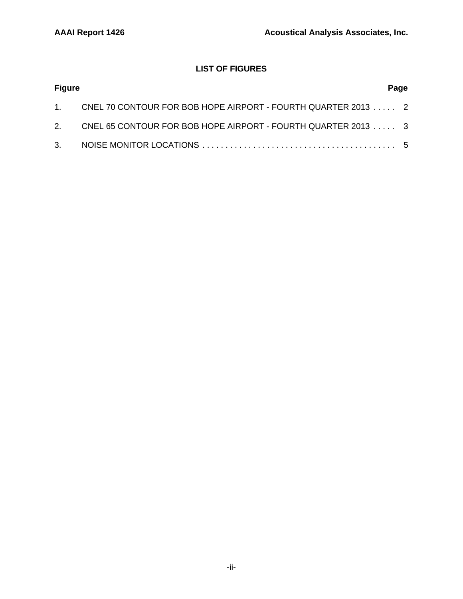# **LIST OF FIGURES**

| <b>Figure</b> |                                                                 | Page |
|---------------|-----------------------------------------------------------------|------|
|               | 1. CNEL 70 CONTOUR FOR BOB HOPE AIRPORT - FOURTH QUARTER 2013 2 |      |
|               | 2. CNEL 65 CONTOUR FOR BOB HOPE AIRPORT - FOURTH QUARTER 2013 3 |      |
|               |                                                                 |      |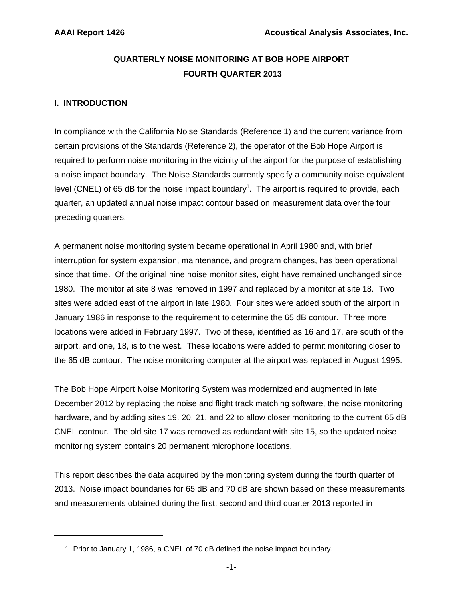# **QUARTERLY NOISE MONITORING AT BOB HOPE AIRPORT FOURTH QUARTER 2013**

## **I. INTRODUCTION**

In compliance with the California Noise Standards (Reference 1) and the current variance from certain provisions of the Standards (Reference 2), the operator of the Bob Hope Airport is required to perform noise monitoring in the vicinity of the airport for the purpose of establishing a noise impact boundary. The Noise Standards currently specify a community noise equivalent level (CNEL) of 65 dB for the noise impact boundary<sup>1</sup>. The airport is required to provide, each quarter, an updated annual noise impact contour based on measurement data over the four preceding quarters.

A permanent noise monitoring system became operational in April 1980 and, with brief interruption for system expansion, maintenance, and program changes, has been operational since that time. Of the original nine noise monitor sites, eight have remained unchanged since 1980. The monitor at site 8 was removed in 1997 and replaced by a monitor at site 18. Two sites were added east of the airport in late 1980. Four sites were added south of the airport in January 1986 in response to the requirement to determine the 65 dB contour. Three more locations were added in February 1997. Two of these, identified as 16 and 17, are south of the airport, and one, 18, is to the west. These locations were added to permit monitoring closer to the 65 dB contour. The noise monitoring computer at the airport was replaced in August 1995.

The Bob Hope Airport Noise Monitoring System was modernized and augmented in late December 2012 by replacing the noise and flight track matching software, the noise monitoring hardware, and by adding sites 19, 20, 21, and 22 to allow closer monitoring to the current 65 dB CNEL contour. The old site 17 was removed as redundant with site 15, so the updated noise monitoring system contains 20 permanent microphone locations.

This report describes the data acquired by the monitoring system during the fourth quarter of 2013. Noise impact boundaries for 65 dB and 70 dB are shown based on these measurements and measurements obtained during the first, second and third quarter 2013 reported in

 <sup>1</sup> Prior to January 1, 1986, a CNEL of 70 dB defined the noise impact boundary.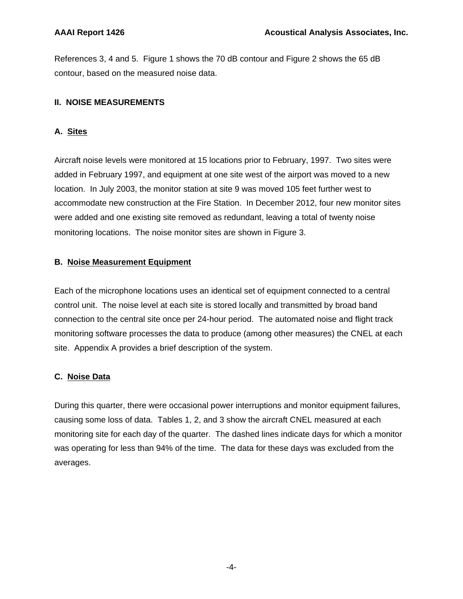References 3, 4 and 5. Figure 1 shows the 70 dB contour and Figure 2 shows the 65 dB contour, based on the measured noise data.

## **II. NOISE MEASUREMENTS**

## **A. Sites**

Aircraft noise levels were monitored at 15 locations prior to February, 1997. Two sites were added in February 1997, and equipment at one site west of the airport was moved to a new location. In July 2003, the monitor station at site 9 was moved 105 feet further west to accommodate new construction at the Fire Station. In December 2012, four new monitor sites were added and one existing site removed as redundant, leaving a total of twenty noise monitoring locations. The noise monitor sites are shown in Figure 3.

### **B. Noise Measurement Equipment**

Each of the microphone locations uses an identical set of equipment connected to a central control unit. The noise level at each site is stored locally and transmitted by broad band connection to the central site once per 24-hour period. The automated noise and flight track monitoring software processes the data to produce (among other measures) the CNEL at each site. Appendix A provides a brief description of the system.

## **C. Noise Data**

During this quarter, there were occasional power interruptions and monitor equipment failures, causing some loss of data. Tables 1, 2, and 3 show the aircraft CNEL measured at each monitoring site for each day of the quarter. The dashed lines indicate days for which a monitor was operating for less than 94% of the time. The data for these days was excluded from the averages.

-4-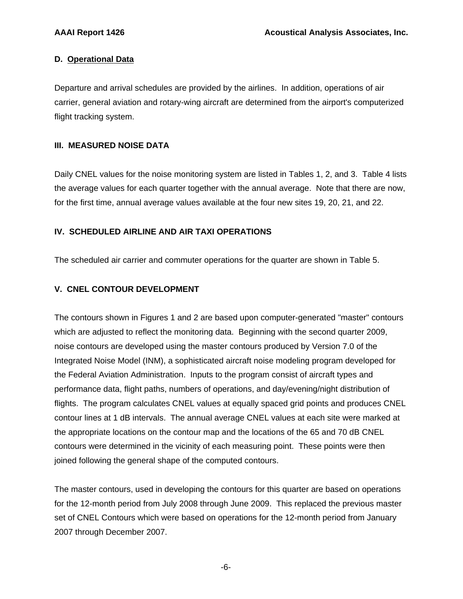#### **D. Operational Data**

Departure and arrival schedules are provided by the airlines. In addition, operations of air carrier, general aviation and rotary-wing aircraft are determined from the airport's computerized flight tracking system.

#### **III. MEASURED NOISE DATA**

Daily CNEL values for the noise monitoring system are listed in Tables 1, 2, and 3. Table 4 lists the average values for each quarter together with the annual average. Note that there are now, for the first time, annual average values available at the four new sites 19, 20, 21, and 22.

#### **IV. SCHEDULED AIRLINE AND AIR TAXI OPERATIONS**

The scheduled air carrier and commuter operations for the quarter are shown in Table 5.

#### **V. CNEL CONTOUR DEVELOPMENT**

The contours shown in Figures 1 and 2 are based upon computer-generated "master" contours which are adjusted to reflect the monitoring data. Beginning with the second quarter 2009, noise contours are developed using the master contours produced by Version 7.0 of the Integrated Noise Model (INM), a sophisticated aircraft noise modeling program developed for the Federal Aviation Administration. Inputs to the program consist of aircraft types and performance data, flight paths, numbers of operations, and day/evening/night distribution of flights. The program calculates CNEL values at equally spaced grid points and produces CNEL contour lines at 1 dB intervals. The annual average CNEL values at each site were marked at the appropriate locations on the contour map and the locations of the 65 and 70 dB CNEL contours were determined in the vicinity of each measuring point. These points were then joined following the general shape of the computed contours.

The master contours, used in developing the contours for this quarter are based on operations for the 12-month period from July 2008 through June 2009. This replaced the previous master set of CNEL Contours which were based on operations for the 12-month period from January 2007 through December 2007.

-6-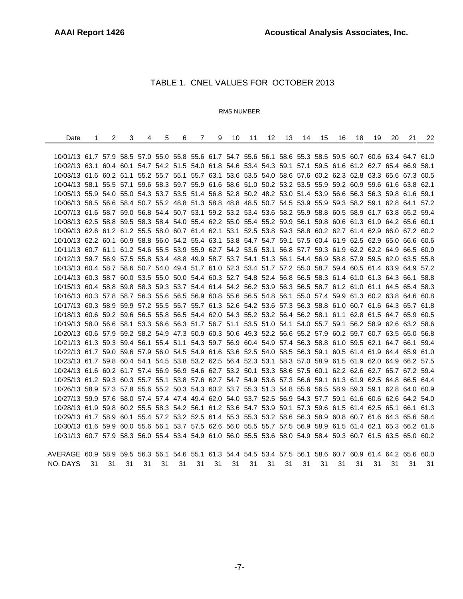# TABLE 1. CNEL VALUES FOR OCTOBER 2013

#### RMS NUMBER

| Date                                                                                                         | 1  | $\overline{2}$ | 3  | 4  | 5  | 6  | $\overline{7}$ | 9  | 10 | 11 | 12 <sup>°</sup> | 13 | 14 | 15 | 16 | 18 | 19 | 20 | 21 | 22 |
|--------------------------------------------------------------------------------------------------------------|----|----------------|----|----|----|----|----------------|----|----|----|-----------------|----|----|----|----|----|----|----|----|----|
|                                                                                                              |    |                |    |    |    |    |                |    |    |    |                 |    |    |    |    |    |    |    |    |    |
| 10/01/13 61.7 57.9 58.5 57.0 55.0 55.8 55.6 61.7 54.7 55.6 56.1 58.6 55.3 58.5 59.5 60.7 60.6 63.4 64.7 61.0 |    |                |    |    |    |    |                |    |    |    |                 |    |    |    |    |    |    |    |    |    |
| 10/02/13 63.1 60.4 60.1 54.7 54.2 51.5 54.0 61.8 54.6 53.4 54.3 59.1 57.1 59.5 61.6 61.2 62.7 65.4 66.9 58.1 |    |                |    |    |    |    |                |    |    |    |                 |    |    |    |    |    |    |    |    |    |
| 10/03/13 61.6 60.2 61.1 55.2 55.7 55.1 55.7 63.1 53.6 53.5 54.0 58.6 57.6 60.2 62.3 62.8 63.3 65.6 67.3 60.5 |    |                |    |    |    |    |                |    |    |    |                 |    |    |    |    |    |    |    |    |    |
| 10/04/13 58.1 55.5 57.1 59.6 58.3 59.7 55.9 61.6 58.6 51.0 50.2 53.2 53.5 55.9 59.2 60.9 59.6 61.6 63.8 62.1 |    |                |    |    |    |    |                |    |    |    |                 |    |    |    |    |    |    |    |    |    |
| 10/05/13 55.9 54.0 55.0 54.3 53.7 53.5 51.4 56.8 52.8 50.2 48.2 53.0 51.4 53.9 56.6 56.3 56.3 59.8 61.6 59.1 |    |                |    |    |    |    |                |    |    |    |                 |    |    |    |    |    |    |    |    |    |
| 10/06/13 58.5 56.6 58.4 50.7 55.2 48.8 51.3 58.8 48.8 48.5 50.7 54.5 53.9 55.9 59.3 58.2 59.1 62.8 64.1 57.2 |    |                |    |    |    |    |                |    |    |    |                 |    |    |    |    |    |    |    |    |    |
| 10/07/13 61.6 58.7 59.0 56.8 54.4 50.7 53.1 59.2 53.2 53.4 53.6 58.2 55.9 58.8 60.5 58.9 61.7 63.8 65.2 59.4 |    |                |    |    |    |    |                |    |    |    |                 |    |    |    |    |    |    |    |    |    |
| 10/08/13 62.5 58.8 59.5 58.3 58.4 54.0 55.4 62.2 55.0 55.4 55.2 59.9 56.1 59.8 60.6 61.3 61.9 64.2 65.6 60.1 |    |                |    |    |    |    |                |    |    |    |                 |    |    |    |    |    |    |    |    |    |
| 10/09/13 62.6 61.2 61.2 55.5 58.0 60.7 61.4 62.1 53.1 52.5 53.8 59.3 58.8 60.2 62.7 61.4 62.9 66.0 67.2 60.2 |    |                |    |    |    |    |                |    |    |    |                 |    |    |    |    |    |    |    |    |    |
| 10/10/13 62.2 60.1 60.9 58.8 56.0 54.2 55.4 63.1 53.8 54.7 54.7 59.1 57.5 60.4 61.9 62.5 62.9 65.0 66.6 60.6 |    |                |    |    |    |    |                |    |    |    |                 |    |    |    |    |    |    |    |    |    |
| 10/11/13 60.7 61.1 61.2 54.6 55.5 53.9 55.9 62.7 54.2 53.6 53.1 56.8 57.7 59.3 61.9 62.2 62.2 64.9 66.5 60.9 |    |                |    |    |    |    |                |    |    |    |                 |    |    |    |    |    |    |    |    |    |
| 10/12/13 59.7 56.9 57.5 55.8 53.4 48.8 49.9 58.7 53.7 54.1 51.3 56.1 54.4 56.9 58.8 57.9 59.5 62.0 63.5 55.8 |    |                |    |    |    |    |                |    |    |    |                 |    |    |    |    |    |    |    |    |    |
| 10/13/13 60.4 58.7 58.6 50.7 54.0 49.4 51.7 61.0 52.3 53.4 51.7 57.2 55.0 58.7 59.4 60.5 61.4 63.9 64.9 57.2 |    |                |    |    |    |    |                |    |    |    |                 |    |    |    |    |    |    |    |    |    |
| 10/14/13 60.3 58.7 60.0 53.5 55.0 50.0 54.4 60.3 52.7 54.8 52.4 56.8 56.5 58.3 61.4 61.0 61.3 64.3 66.1 58.8 |    |                |    |    |    |    |                |    |    |    |                 |    |    |    |    |    |    |    |    |    |
| 10/15/13 60.4 58.8 59.8 58.3 59.3 53.7 54.4 61.4 54.2 56.2 53.9 56.3 56.5 58.7 61.2 61.0 61.1 64.5 65.4 58.3 |    |                |    |    |    |    |                |    |    |    |                 |    |    |    |    |    |    |    |    |    |
| 10/16/13 60.3 57.8 58.7 56.3 55.6 56.5 56.9 60.8 55.6 56.5 54.8 56.1 55.0 57.4 59.9 61.3 60.2 63.8 64.6 60.8 |    |                |    |    |    |    |                |    |    |    |                 |    |    |    |    |    |    |    |    |    |
| 10/17/13 60.3 58.9 59.9 57.2 55.5 55.7 55.7 61.3 52.6 54.2 53.6 57.3 56.3 58.8 61.0 60.7 61.6 64.3 65.7 61.8 |    |                |    |    |    |    |                |    |    |    |                 |    |    |    |    |    |    |    |    |    |
| 10/18/13 60.6 59.2 59.6 56.5 55.8 56.5 54.4 62.0 54.3 55.2 53.2 56.4 56.2 58.1 61.1 62.8 61.5 64.7 65.9 60.5 |    |                |    |    |    |    |                |    |    |    |                 |    |    |    |    |    |    |    |    |    |
| 10/19/13 58.0 56.6 58.1 53.3 56.6 56.3 51.7 56.7 51.1 53.5 51.0 54.1 54.0 55.7 59.1 56.2 58.9 62.6 63.2 58.6 |    |                |    |    |    |    |                |    |    |    |                 |    |    |    |    |    |    |    |    |    |
| 10/20/13 60.6 57.9 59.2 58.2 54.9 47.3 50.9 60.3 50.6 49.3 52.2 56.6 55.2 57.9 60.2 59.7 60.7 63.5 65.0 56.8 |    |                |    |    |    |    |                |    |    |    |                 |    |    |    |    |    |    |    |    |    |
| 10/21/13 61.3 59.3 59.4 56.1 55.4 51.1 54.3 59.7 56.9 60.4 54.9 57.4 56.3 58.8 61.0 59.5 62.1 64.7 66.1 59.4 |    |                |    |    |    |    |                |    |    |    |                 |    |    |    |    |    |    |    |    |    |
| 10/22/13 61.7 59.0 59.6 57.9 56.0 54.5 54.9 61.6 53.6 52.5 54.0 58.5 56.3 59.1 60.5 61.4 61.9 64.4 65.9 61.0 |    |                |    |    |    |    |                |    |    |    |                 |    |    |    |    |    |    |    |    |    |
| 10/23/13 61.7 59.8 60.4 54.1 54.5 53.8 53.2 62.5 56.4 52.3 53.1 58.3 57.0 58.9 61.5 61.9 62.0 64.9 66.2 57.5 |    |                |    |    |    |    |                |    |    |    |                 |    |    |    |    |    |    |    |    |    |
| 10/24/13 61.6 60.2 61.7 57.4 56.9 56.9 54.6 62.7 53.2 50.1 53.3 58.6 57.5 60.1 62.2 62.6 62.7 65.7 67.2 59.4 |    |                |    |    |    |    |                |    |    |    |                 |    |    |    |    |    |    |    |    |    |
| 10/25/13 61.2 59.3 60.3 55.7 55.1 53.8 57.6 62.7 54.7 54.9 53.6 57.3 56.6 59.1 61.3 61.9 62.5 64.8 66.5 64.4 |    |                |    |    |    |    |                |    |    |    |                 |    |    |    |    |    |    |    |    |    |
| 10/26/13 58.9 57.3 57.8 55.6 55.2 50.3 54.3 60.2 53.7 55.3 51.3 54.8 55.6 56.5 58.9 59.3 59.1 62.8 64.0 60.9 |    |                |    |    |    |    |                |    |    |    |                 |    |    |    |    |    |    |    |    |    |
| 10/27/13 59.9 57.6 58.0 57.4 57.4 47.4 49.4 62.0 54.0 53.7 52.5 56.9 54.3 57.7 59.1 61.6 60.6 62.6 64.2 54.0 |    |                |    |    |    |    |                |    |    |    |                 |    |    |    |    |    |    |    |    |    |
| 10/28/13 61.9 59.8 60.2 55.5 58.3 54.2 56.1 61.2 53.6 54.7 53.9 59.1 57.3 59.6 61.5 61.4 62.5 65.1 66.1 61.3 |    |                |    |    |    |    |                |    |    |    |                 |    |    |    |    |    |    |    |    |    |
| 10/29/13 61.7 58.9 60.1 55.4 57.2 53.2 52.5 61.4 55.3 55.3 53.2 58.6 56.3 58.9 60.8 60.7 61.6 64.3 65.6 58.4 |    |                |    |    |    |    |                |    |    |    |                 |    |    |    |    |    |    |    |    |    |
| 10/30/13 61.6 59.9 60.0 55.6 56.1 53.7 57.5 62.6 56.0 55.5 55.7 57.5 56.9 58.9 61.5 61.4 62.1 65.3 66.2 61.6 |    |                |    |    |    |    |                |    |    |    |                 |    |    |    |    |    |    |    |    |    |
| 10/31/13 60.7 57.9 58.3 56.0 55.4 53.4 54.9 61.0 56.0 55.5 53.6 58.0 54.9 58.4 59.3 60.7 61.5 63.5 65.0 60.2 |    |                |    |    |    |    |                |    |    |    |                 |    |    |    |    |    |    |    |    |    |
|                                                                                                              |    |                |    |    |    |    |                |    |    |    |                 |    |    |    |    |    |    |    |    |    |
| AVERAGE 60.9 58.9 59.5 56.3 56.1 54.6 55.1 61.3 54.4 54.5 53.4 57.5 56.1 58.6 60.7 60.9 61.4 64.2 65.6 60.0  |    |                |    |    |    |    |                |    |    |    |                 |    |    |    |    |    |    |    |    |    |
| NO. DAYS                                                                                                     | 31 | 31             | 31 | 31 | 31 | 31 | 31             | 31 | 31 | 31 | 31              | 31 | 31 | 31 | 31 | 31 | 31 | 31 | 31 | 31 |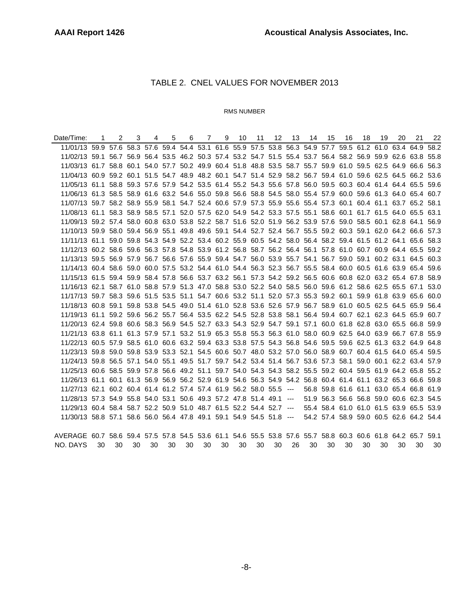## TABLE 2. CNEL VALUES FOR NOVEMBER 2013

#### RMS NUMBER

| Date/Time:                                                                                                   | 1  | $\overline{2}$ | 3  | 4  | 5 <sup>5</sup> | 6  | 7  | 9  | 10 | 11 | 12 | 13 | 14 | 15 | 16 | 18 | 19 | 20 | 21                                      | 22   |
|--------------------------------------------------------------------------------------------------------------|----|----------------|----|----|----------------|----|----|----|----|----|----|----|----|----|----|----|----|----|-----------------------------------------|------|
| 11/01/13 59.9 57.6 58.3 57.6 59.4 54.4 53.1 61.6 55.9 57.5 53.8 56.3 54.9 57.7 59.5 61.2 61.0 63.4 64.9 58.2 |    |                |    |    |                |    |    |    |    |    |    |    |    |    |    |    |    |    |                                         |      |
| 11/02/13 59.1 56.7 56.9 56.4 53.5 46.2 50.3 57.4 53.2 54.7 51.5 55.4 53.7 56.4 58.2 56.9 59.9 62.6 63.8 55.8 |    |                |    |    |                |    |    |    |    |    |    |    |    |    |    |    |    |    |                                         |      |
| 11/03/13 61.7 58.8 60.1 54.0 57.7 50.2 49.9 60.4 51.8 48.8 53.5 58.7 55.7 59.9 61.0 59.5 62.5 64.9 66.6 56.3 |    |                |    |    |                |    |    |    |    |    |    |    |    |    |    |    |    |    |                                         |      |
| 11/04/13 60.9 59.2 60.1 51.5 54.7 48.9 48.2 60.1 54.7 51.4 52.9 58.2 56.7 59.4 61.0 59.6 62.5 64.5 66.2 53.6 |    |                |    |    |                |    |    |    |    |    |    |    |    |    |    |    |    |    |                                         |      |
| 11/05/13 61.1 58.8 59.3 57.6 57.9 54.2 53.5 61.4 55.2 54.3 55.6 57.8 56.0 59.5 60.3 60.4 61.4 64.4 65.5 59.6 |    |                |    |    |                |    |    |    |    |    |    |    |    |    |    |    |    |    |                                         |      |
| 11/06/13 61.3 58.5 58.9 61.6 63.2 54.6 55.0 59.8 56.6 58.8 54.5 58.0 55.4 57.9 60.0 59.6 61.3 64.0 65.4 60.7 |    |                |    |    |                |    |    |    |    |    |    |    |    |    |    |    |    |    |                                         |      |
| 11/07/13 59.7 58.2 58.9 55.9 58.1 54.7 52.4 60.6 57.9 57.3 55.9 55.6 55.4 57.3 60.1 60.4 61.1 63.7 65.2 58.1 |    |                |    |    |                |    |    |    |    |    |    |    |    |    |    |    |    |    |                                         |      |
| 11/08/13 61.1 58.3 58.9 58.5 57.1 52.0 57.5 62.0 54.9 54.2 53.3 57.5 55.1 58.6 60.1 61.7 61.5 64.0 65.5 63.1 |    |                |    |    |                |    |    |    |    |    |    |    |    |    |    |    |    |    |                                         |      |
| 11/09/13 59.2 57.4 58.0 60.8 63.0 53.8 52.2 58.7 51.6 52.0 51.9 56.2 53.9 57.6 59.0 58.5 60.1 62.8 64.1 56.9 |    |                |    |    |                |    |    |    |    |    |    |    |    |    |    |    |    |    |                                         |      |
| 11/10/13 59.9 58.0 59.4 56.9 55.1 49.8 49.6 59.1 54.4 52.7 52.4 56.7 55.5 59.2 60.3 59.1 62.0 64.2 66.6 57.3 |    |                |    |    |                |    |    |    |    |    |    |    |    |    |    |    |    |    |                                         |      |
| 11/11/13 61.1 59.0 59.8 54.3 54.9 52.2 53.4 60.2 55.9 60.5 54.2 58.0 56.4 58.2 59.4 61.5 61.2 64.1 65.6 58.3 |    |                |    |    |                |    |    |    |    |    |    |    |    |    |    |    |    |    |                                         |      |
| 11/12/13 60.2 58.6 59.6 56.3 57.8 54.8 53.9 61.2 56.8 58.7 56.2 56.4 56.1 57.8 61.0 60.7 60.9 64.4 65.5 59.2 |    |                |    |    |                |    |    |    |    |    |    |    |    |    |    |    |    |    |                                         |      |
| 11/13/13 59.5 56.9 57.9 56.7 56.6 57.6 55.9 59.4 54.7 56.0 53.9 55.7 54.1 56.7 59.0 59.1 60.2 63.1 64.5 60.3 |    |                |    |    |                |    |    |    |    |    |    |    |    |    |    |    |    |    |                                         |      |
| 11/14/13 60.4 58.6 59.0 60.0 57.5 53.2 54.4 61.0 54.4 56.3 52.3 56.7 55.5 58.4 60.0 60.5 61.6 63.9 65.4 59.6 |    |                |    |    |                |    |    |    |    |    |    |    |    |    |    |    |    |    |                                         |      |
| 11/15/13 61.5 59.4 59.9 58.4 57.8 56.6 53.7 63.2 56.1 57.3 54.2 59.2 56.5 60.6 60.8 62.0 63.2 65.4 67.8 58.9 |    |                |    |    |                |    |    |    |    |    |    |    |    |    |    |    |    |    |                                         |      |
| 11/16/13 62.1 58.7 61.0 58.8 57.9 51.3 47.0 58.8 53.0 52.2 54.0 58.5 56.0 59.6 61.2 58.6 62.5 65.5 67.1 53.0 |    |                |    |    |                |    |    |    |    |    |    |    |    |    |    |    |    |    |                                         |      |
| 11/17/13 59.7 58.3 59.6 51.5 53.5 51.1 54.7 60.6 53.2 51.1 52.0 57.3 55.3 59.2 60.1 59.9 61.8 63.9 65.6 60.0 |    |                |    |    |                |    |    |    |    |    |    |    |    |    |    |    |    |    |                                         |      |
| 11/18/13 60.8 59.1 59.8 53.8 54.5 49.0 51.4 61.0 52.8 53.6 52.6 57.9 56.7 58.9 61.0 60.5 62.5 64.5 65.9 56.4 |    |                |    |    |                |    |    |    |    |    |    |    |    |    |    |    |    |    |                                         |      |
| 11/19/13 61.1 59.2 59.6 56.2 55.7 56.4 53.5 62.2 54.5 52.8 53.8 58.1 56.4 59.4 60.7 62.1 62.3 64.5 65.9 60.7 |    |                |    |    |                |    |    |    |    |    |    |    |    |    |    |    |    |    |                                         |      |
| 11/20/13 62.4 59.8 60.6 58.3 56.9 54.5 52.7 63.3 54.3 52.9 54.7 59.1 57.1 60.0 61.8 62.8 63.0 65.5 66.8 59.9 |    |                |    |    |                |    |    |    |    |    |    |    |    |    |    |    |    |    |                                         |      |
| 11/21/13 63.8 61.1 61.3 57.9 57.1 53.2 51.9 65.3 55.8 55.3 56.3 61.0 58.0 60.9 62.5 64.0 63.9 66.7 67.8 55.9 |    |                |    |    |                |    |    |    |    |    |    |    |    |    |    |    |    |    |                                         |      |
| 11/22/13 60.5 57.9 58.5 61.0 60.6 63.2 59.4 63.3 53.8 57.5 54.3 56.8 54.6 59.5 59.6 62.5 61.3 63.2 64.9 64.8 |    |                |    |    |                |    |    |    |    |    |    |    |    |    |    |    |    |    |                                         |      |
| 11/23/13 59.8 59.0 59.8 53.9 53.3 52.1 54.5 60.6 50.7 48.0 53.2 57.0 56.0 58.9 60.7 60.4 61.5 64.0 65.4 59.5 |    |                |    |    |                |    |    |    |    |    |    |    |    |    |    |    |    |    |                                         |      |
| 11/24/13 59.8 56.5 57.1 54.0 55.1 49.5 51.7 59.7 54.2 53.4 51.4 56.7 53.6 57.3 58.1 59.0 60.1 62.2 63.4 57.9 |    |                |    |    |                |    |    |    |    |    |    |    |    |    |    |    |    |    |                                         |      |
| 11/25/13 60.6 58.5 59.9 57.8 56.6 49.2 51.1 59.7 54.0 54.3 54.3 58.2 55.5 59.2 60.4 59.5 61.9 64.2 65.8 55.2 |    |                |    |    |                |    |    |    |    |    |    |    |    |    |    |    |    |    |                                         |      |
| 11/26/13 61.1 60.1 61.3 56.9 56.9 56.2 52.9 61.9 54.6 56.3 54.9 54.2 56.8 60.4 61.4 61.1 63.2 65.3 66.6 59.8 |    |                |    |    |                |    |    |    |    |    |    |    |    |    |    |    |    |    |                                         |      |
| 11/27/13 62.1 60.2 60.4 61.4 61.2 57.4 57.4 61.9 56.2 58.0 55.5 ---                                          |    |                |    |    |                |    |    |    |    |    |    |    |    |    |    |    |    |    | 56.8 59.8 61.6 61.1 63.0 65.4 66.8 61.9 |      |
| 11/28/13 57.3 54.9 55.8 54.0 53.1 50.6 49.3 57.2 47.8 51.4 49.1 ---                                          |    |                |    |    |                |    |    |    |    |    |    |    |    |    |    |    |    |    | 51.9 56.3 56.6 56.8 59.0 60.6 62.3 54.5 |      |
| 11/29/13 60.4 58.4 58.7 52.2 50.9 51.0 48.7 61.5 52.2 54.4 52.7 ---                                          |    |                |    |    |                |    |    |    |    |    |    |    |    |    |    |    |    |    | 55.4 58.4 61.0 61.0 61.5 63.9 65.5 53.9 |      |
| 11/30/13 58.8 57.1 58.6 56.0 56.4 47.8 49.1 59.1 54.9 54.5 51.8 ---                                          |    |                |    |    |                |    |    |    |    |    |    |    |    |    |    |    |    |    | 54.2 57.4 58.9 59.0 60.5 62.6 64.2 54.4 |      |
| AVERAGE 60.7 58.6 59.4 57.5 57.8 54.5 53.6 61.1 54.6 55.5 53.8 57.6 55.7 58.8 60.3 60.6 61.8 64.2 65.7 59.1  |    |                |    |    |                |    |    |    |    |    |    |    |    |    |    |    |    |    |                                         |      |
| NO. DAYS                                                                                                     | 30 | 30             | 30 | 30 | 30             | 30 | 30 | 30 | 30 | 30 | 30 | 26 | 30 | 30 | 30 | 30 | 30 | 30 | 30                                      | - 30 |
|                                                                                                              |    |                |    |    |                |    |    |    |    |    |    |    |    |    |    |    |    |    |                                         |      |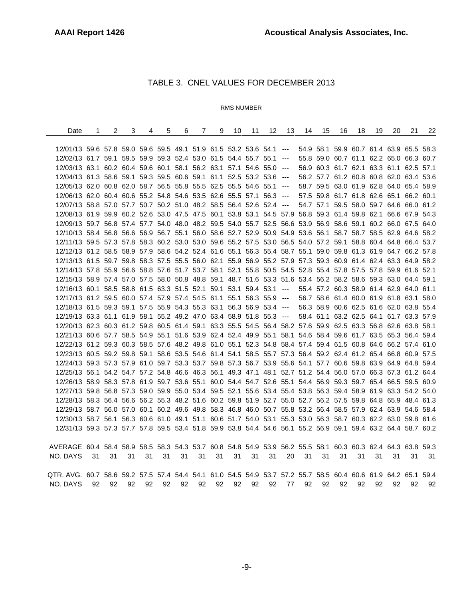## TABLE 3. CNEL VALUES FOR DECEMBER 2013

#### RMS NUMBER

| Date                                                                                                          | 1  | $\overline{2}$ | 3  | 4  | 5  | 6  | $\overline{7}$ | 9  | 10 | 11 | 12 | 13 | 14 | 15 | 16 | 18                                      | 19 | 20 | 21 | 22 |
|---------------------------------------------------------------------------------------------------------------|----|----------------|----|----|----|----|----------------|----|----|----|----|----|----|----|----|-----------------------------------------|----|----|----|----|
|                                                                                                               |    |                |    |    |    |    |                |    |    |    |    |    |    |    |    |                                         |    |    |    |    |
| 12/01/13 59.6 57.8 59.0 59.6 59.5 49.1 51.9 61.5 53.2 53.6 54.1 --- 54.9 58.1 59.9 60.7 61.4 63.9 65.5 58.3   |    |                |    |    |    |    |                |    |    |    |    |    |    |    |    |                                         |    |    |    |    |
| 12/02/13 61.7 59.1 59.5 59.9 59.3 52.4 53.0 61.5 54.4 55.7 55.1 ---                                           |    |                |    |    |    |    |                |    |    |    |    |    |    |    |    | 55.8 59.0 60.7 61.1 62.2 65.0 66.3 60.7 |    |    |    |    |
| 12/03/13 63.1 60.2 60.4 59.6 60.1 58.1 56.2 63.1 57.1 54.6 55.0 ---                                           |    |                |    |    |    |    |                |    |    |    |    |    |    |    |    | 56.9 60.3 61.7 62.1 63.3 61.1 62.5 57.1 |    |    |    |    |
| 12/04/13 61.3 58.6 59.1 59.3 59.5 60.6 59.1 61.1 52.5 53.2 53.6 ---                                           |    |                |    |    |    |    |                |    |    |    |    |    |    |    |    | 56.2 57.7 61.2 60.8 60.8 62.0 63.4 53.6 |    |    |    |    |
| 12/05/13 62.0 60.8 62.0 58.7 56.5 55.8 55.5 62.5 55.5 54.6 55.1 ---                                           |    |                |    |    |    |    |                |    |    |    |    |    |    |    |    | 58.7 59.5 63.0 61.9 62.8 64.0 65.4 58.9 |    |    |    |    |
| 12/06/13 62.0 60.4 60.6 55.2 54.8 54.6 53.5 62.6 55.5 57.1 56.3 ---                                           |    |                |    |    |    |    |                |    |    |    |    |    |    |    |    | 57.5 59.8 61.7 61.8 62.6 65.1 66.2 60.1 |    |    |    |    |
| 12/07/13 58.8 57.0 57.7 50.7 50.2 51.0 48.2 58.5 56.4 52.6 52.4 ---                                           |    |                |    |    |    |    |                |    |    |    |    |    |    |    |    | 54.7 57.1 59.5 58.0 59.7 64.6 66.0 61.2 |    |    |    |    |
| 12/08/13 61.9 59.9 60.2 52.6 53.0 47.5 47.5 60.1 53.8 53.1 54.5 57.9 56.8 59.3 61.4 59.8 62.1 66.6 67.9 54.3  |    |                |    |    |    |    |                |    |    |    |    |    |    |    |    |                                         |    |    |    |    |
| 12/09/13 59.7 56.8 57.4 57.7 54.0 48.0 48.2 59.5 54.0 55.7 52.5 56.6 53.9 56.9 58.6 59.1 60.2 66.0 67.5 64.0  |    |                |    |    |    |    |                |    |    |    |    |    |    |    |    |                                         |    |    |    |    |
| 12/10/13 58.4 56.8 56.6 56.9 56.7 55.1 56.0 58.6 52.7 52.9 50.9 54.9 53.6 56.1 58.7 58.7 58.5 62.9 64.6 58.2  |    |                |    |    |    |    |                |    |    |    |    |    |    |    |    |                                         |    |    |    |    |
| 12/11/13 59.5 57.3 57.8 58.3 60.2 53.0 53.0 59.6 55.2 57.5 53.0 56.5 54.0 57.2 59.1 58.8 60.4 64.8 66.4 53.7  |    |                |    |    |    |    |                |    |    |    |    |    |    |    |    |                                         |    |    |    |    |
| 12/12/13 61.2 58.5 58.9 57.9 58.6 54.2 52.4 61.6 55.1 56.3 55.4 58.7 55.1 59.0 59.8 61.3 61.9 64.7 66.2 57.8  |    |                |    |    |    |    |                |    |    |    |    |    |    |    |    |                                         |    |    |    |    |
| 12/13/13 61.5 59.7 59.8 58.3 57.5 55.5 56.0 62.1 55.9 56.9 55.2 57.9 57.3 59.3 60.9 61.4 62.4 63.3 64.9 58.2  |    |                |    |    |    |    |                |    |    |    |    |    |    |    |    |                                         |    |    |    |    |
| 12/14/13 57.8 55.9 56.6 58.8 57.6 51.7 53.7 58.1 52.1 55.8 50.5 54.5 52.8 55.4 57.8 57.5 57.8 59.9 61.6 52.1  |    |                |    |    |    |    |                |    |    |    |    |    |    |    |    |                                         |    |    |    |    |
| 12/15/13 58.9 57.4 57.0 57.5 58.0 50.8 48.8 59.1 48.7 51.6 53.3 51.6 53.4 56.2 58.2 58.6 59.3 63.0 64.4 59.1  |    |                |    |    |    |    |                |    |    |    |    |    |    |    |    |                                         |    |    |    |    |
| 12/16/13 60.1 58.5 58.8 61.5 63.3 51.5 52.1 59.1 53.1 59.4 53.1 ---                                           |    |                |    |    |    |    |                |    |    |    |    |    |    |    |    | 55.4 57.2 60.3 58.9 61.4 62.9 64.0 61.1 |    |    |    |    |
| 12/17/13 61.2 59.5 60.0 57.4 57.9 57.4 54.5 61.1 55.1 56.3 55.9 ---                                           |    |                |    |    |    |    |                |    |    |    |    |    |    |    |    | 56.7 58.6 61.4 60.0 61.9 61.8 63.1 58.0 |    |    |    |    |
| 12/18/13 61.5 59.3 59.1 57.5 55.9 54.3 55.3 63.1 56.3 56.9 53.4 ---                                           |    |                |    |    |    |    |                |    |    |    |    |    |    |    |    | 56.3 58.9 60.6 62.5 61.6 62.0 63.8 55.4 |    |    |    |    |
| 12/19/13 63.3 61.1 61.9 58.1 55.2 49.2 47.0 63.4 58.9 51.8 55.3 --- 58.4 61.1 63.2 62.5 64.1 61.7 63.3 57.9   |    |                |    |    |    |    |                |    |    |    |    |    |    |    |    |                                         |    |    |    |    |
| 12/20/13 62.3 60.3 61.2 59.8 60.5 61.4 59.1 63.3 55.5 54.5 56.4 58.2 57.6 59.9 62.5 63.3 56.8 62.6 63.8 58.1  |    |                |    |    |    |    |                |    |    |    |    |    |    |    |    |                                         |    |    |    |    |
| 12/21/13 60.6 57.7 58.5 54.9 55.1 51.6 53.9 62.4 52.4 49.9 55.1 58.1 54.6 58.4 59.6 61.7 63.5 65.3 56.4 59.4  |    |                |    |    |    |    |                |    |    |    |    |    |    |    |    |                                         |    |    |    |    |
| 12/22/13 61.2 59.3 60.3 58.5 57.6 48.2 49.8 61.0 55.1 52.3 54.8 58.4 57.4 59.4 61.5 60.8 64.6 66.2 57.4 61.0  |    |                |    |    |    |    |                |    |    |    |    |    |    |    |    |                                         |    |    |    |    |
| 12/23/13 60.5 59.2 59.8 59.1 58.6 53.5 54.6 61.4 54.1 58.5 55.7 57.3 56.4 59.2 62.4 61.2 65.4 66.8 60.9 57.5  |    |                |    |    |    |    |                |    |    |    |    |    |    |    |    |                                         |    |    |    |    |
| 12/24/13 59.3 57.3 57.9 61.0 59.7 53.3 53.7 59.8 57.3 56.7 53.9 55.6 54.1 57.7 60.6 59.8 63.9 64.9 64.8 59.4  |    |                |    |    |    |    |                |    |    |    |    |    |    |    |    |                                         |    |    |    |    |
| 12/25/13 56.1 54.2 54.7 57.2 54.8 46.6 46.3 56.1 49.3 47.1 48.1 52.7 51.2 54.4 56.0 57.0 66.3 67.3 61.2 64.4  |    |                |    |    |    |    |                |    |    |    |    |    |    |    |    |                                         |    |    |    |    |
| 12/26/13 58.9 58.3 57.8 61.9 59.7 53.6 55.1 60.0 54.4 54.7 52.6 55.1 54.4 56.9 59.3 59.7 65.4 66.5 59.5 60.9  |    |                |    |    |    |    |                |    |    |    |    |    |    |    |    |                                         |    |    |    |    |
| 12/27/13 59.8 56.8 57.3 59.0 59.9 55.0 53.4 59.5 52.1 55.6 53.4 55.4 53.8 56.3 59.4 58.9 61.9 63.3 54.2 54.0  |    |                |    |    |    |    |                |    |    |    |    |    |    |    |    |                                         |    |    |    |    |
| 12/28/13 58.3 56.4 56.6 56.2 55.3 48.2 51.6 60.2 59.8 51.9 52.7 55.0 52.7 56.2 57.5 59.8 64.8 65.9 48.4 61.3  |    |                |    |    |    |    |                |    |    |    |    |    |    |    |    |                                         |    |    |    |    |
| 12/29/13 58.7 56.0 57.0 60.1 60.2 49.6 49.8 58.3 46.8 46.0 50.7 55.8 53.2 56.4 58.5 57.9 62.4 63.9 54.6 58.4  |    |                |    |    |    |    |                |    |    |    |    |    |    |    |    |                                         |    |    |    |    |
| 12/30/13 58.7 56.1 56.3 60.6 61.0 49.1 51.1 60.6 51.7 54.0 53.1 55.3 53.0 56.3 58.7 60.3 62.2 63.0 59.8 61.6  |    |                |    |    |    |    |                |    |    |    |    |    |    |    |    |                                         |    |    |    |    |
| 12/31/13 59.3 57.3 57.7 57.8 59.5 53.4 51.8 59.9 53.8 54.4 54.6 56.1 55.2 56.9 59.1 59.4 63.2 64.4 58.7 60.2  |    |                |    |    |    |    |                |    |    |    |    |    |    |    |    |                                         |    |    |    |    |
|                                                                                                               |    |                |    |    |    |    |                |    |    |    |    |    |    |    |    |                                         |    |    |    |    |
| AVERAGE 60.4 58.4 58.9 58.5 58.3 54.3 53.7 60.8 54.8 54.9 53.9 56.2 55.5 58.1 60.3 60.3 62.4 64.3 63.8 59.3   |    |                |    |    |    |    |                |    |    |    |    |    |    |    |    |                                         |    |    |    |    |
| NO. DAYS                                                                                                      | 31 | 31             | 31 | 31 | 31 | 31 | 31             | 31 | 31 | 31 | 31 | 20 | 31 | 31 | 31 | 31                                      | 31 | 31 | 31 | 31 |
|                                                                                                               |    |                |    |    |    |    |                |    |    |    |    |    |    |    |    |                                         |    |    |    |    |
| QTR. AVG. 60.7 58.6 59.2 57.5 57.4 54.4 54.1 61.0 54.5 54.9 53.7 57.2 55.7 58.5 60.4 60.6 61.9 64.2 65.1 59.4 |    |                |    |    |    |    |                |    |    |    |    |    |    |    |    |                                         |    |    |    |    |
| NO. DAYS                                                                                                      | 92 | 92             | 92 | 92 | 92 | 92 | 92             | 92 | 92 | 92 | 92 | 77 | 92 | 92 | 92 | 92                                      | 92 | 92 | 92 | 92 |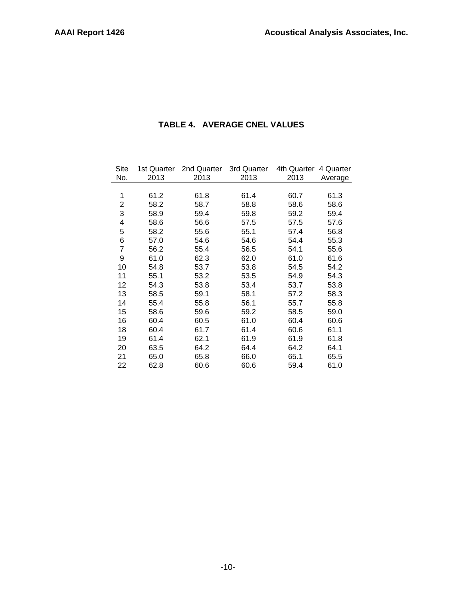# **TABLE 4. AVERAGE CNEL VALUES**

| Site | 1st Quarter | 2nd Quarter | 3rd Quarter | 4th Quarter | 4 Quarter |
|------|-------------|-------------|-------------|-------------|-----------|
| No.  | 2013        | 2013        | 2013        | 2013        | Average   |
|      |             |             |             |             |           |
| 1    | 61.2        | 61.8        | 61.4        | 60.7        | 61.3      |
| 2    | 58.2        | 58.7        | 58.8        | 58.6        | 58.6      |
| 3    | 58.9        | 59.4        | 59.8        | 59.2        | 59.4      |
| 4    | 58.6        | 56.6        | 57.5        | 57.5        | 57.6      |
| 5    | 58.2        | 55.6        | 55.1        | 57.4        | 56.8      |
| 6    | 57.0        | 54.6        | 54.6        | 54.4        | 55.3      |
| 7    | 56.2        | 55.4        | 56.5        | 54.1        | 55.6      |
| 9    | 61.0        | 62.3        | 62.0        | 61.0        | 61.6      |
| 10   | 54.8        | 53.7        | 53.8        | 54.5        | 54.2      |
| 11   | 55.1        | 53.2        | 53.5        | 54.9        | 54.3      |
| 12   | 54.3        | 53.8        | 53.4        | 53.7        | 53.8      |
| 13   | 58.5        | 59.1        | 58.1        | 57.2        | 58.3      |
| 14   | 55.4        | 55.8        | 56.1        | 55.7        | 55.8      |
| 15   | 58.6        | 59.6        | 59.2        | 58.5        | 59.0      |
| 16   | 60.4        | 60.5        | 61.0        | 60.4        | 60.6      |
| 18   | 60.4        | 61.7        | 61.4        | 60.6        | 61.1      |
| 19   | 61.4        | 62.1        | 61.9        | 61.9        | 61.8      |
| 20   | 63.5        | 64.2        | 64.4        | 64.2        | 64.1      |
| 21   | 65.0        | 65.8        | 66.0        | 65.1        | 65.5      |
| 22   | 62.8        | 60.6        | 60.6        | 59.4        | 61.0      |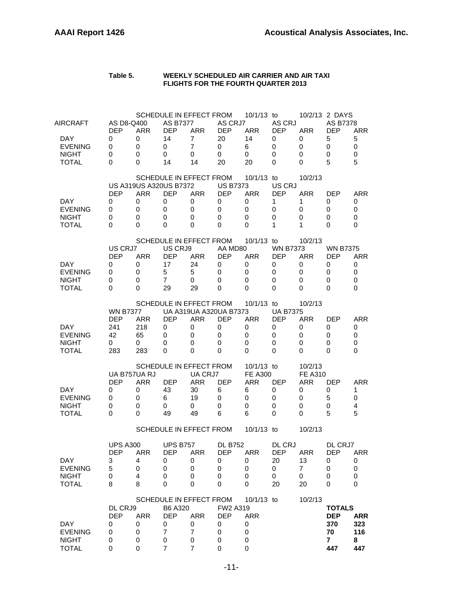#### **Table 5. WEEKLY SCHEDULED AIR CARRIER AND AIR TAXI FLIGHTS FOR THE FOURTH QUARTER 2013**

| DAY<br><b>EVENING</b><br><b>NIGHT</b><br><b>TOTAL</b>                    | DL CRJ9<br><b>DEP</b><br>0<br>0<br>0<br>0              | <b>ARR</b><br>0<br>0<br>0<br>0                           | B6 A320<br><b>DEP</b><br>0<br>7<br>0<br>$\overline{7}$ | SCHEDULE IN EFFECT FROM<br><b>ARR</b><br>0<br>$\overline{7}$<br>0<br>7                     | FW2 A319<br><b>DEP</b><br>0<br>0<br>0<br>0        | 10/1/13 to<br><b>ARR</b><br>0<br>0<br>0<br>0                   |                                                   | 10/2/13                                                     | <b>TOTALS</b><br><b>DEP</b><br>370<br>70<br>7<br>447                | <b>ARR</b><br>323<br>116<br>8<br>447 |
|--------------------------------------------------------------------------|--------------------------------------------------------|----------------------------------------------------------|--------------------------------------------------------|--------------------------------------------------------------------------------------------|---------------------------------------------------|----------------------------------------------------------------|---------------------------------------------------|-------------------------------------------------------------|---------------------------------------------------------------------|--------------------------------------|
| DAY<br><b>EVENING</b><br><b>NIGHT</b><br><b>TOTAL</b>                    | <b>UPS A300</b><br>DEP<br>3<br>5<br>0<br>8             | <b>ARR</b><br>4<br>0<br>4<br>8                           | <b>UPS B757</b><br><b>DEP</b><br>0<br>0<br>0<br>0      | <b>ARR</b><br>0<br>0<br>0<br>0                                                             | <b>DL B752</b><br><b>DEP</b><br>0<br>0<br>0<br>0  | <b>ARR</b><br>0<br>0<br>0<br>0                                 | DL CRJ<br><b>DEP</b><br>20<br>0<br>0<br>20        | <b>ARR</b><br>13<br>7<br>0<br>20                            | DL CRJ7<br><b>DEP</b><br>0<br>0<br>0<br>0                           | <b>ARR</b><br>0<br>0<br>0<br>0       |
|                                                                          |                                                        |                                                          |                                                        | SCHEDULE IN EFFECT FROM                                                                    |                                                   | 10/1/13 to                                                     |                                                   | 10/2/13                                                     |                                                                     |                                      |
| <b>DAY</b><br><b>EVENING</b><br><b>NIGHT</b><br><b>TOTAL</b>             | <b>DEP</b><br>0<br>0<br>0<br>0                         | UA B757UA RJ<br><b>ARR</b><br>0<br>0<br>0<br>0           | <b>DEP</b><br>43<br>6<br>0<br>49                       | <b>SCHEDULE IN EFFECT FROM</b><br>UA CRJ7<br><b>ARR</b><br>30<br>19<br>0<br>49             | <b>DEP</b><br>6<br>0<br>0<br>6                    | 10/1/13 to<br><b>FE A300</b><br><b>ARR</b><br>6<br>0<br>0<br>6 | <b>DEP</b><br>0<br>0<br>0<br>0                    | 10/2/13<br><b>FE A310</b><br><b>ARR</b><br>0<br>0<br>0<br>0 | <b>DEP</b><br>0<br>5<br>0<br>5                                      | <b>ARR</b><br>1<br>0<br>4<br>5       |
| DAY<br><b>EVENING</b><br><b>NIGHT</b><br><b>TOTAL</b>                    | <b>WN B7377</b><br><b>DEP</b><br>241<br>42<br>0<br>283 | ARR<br>218<br>65<br>0<br>283                             | DEP<br>0<br>0<br>0<br>0                                | <b>SCHEDULE IN EFFECT FROM</b><br>UA A319UA A320UA B7373<br><b>ARR</b><br>0<br>0<br>0<br>0 | DEP<br>0<br>0<br>0<br>0                           | $10/1/13$ to<br><b>ARR</b><br>0<br>0<br>0<br>0                 | <b>UA B7375</b><br>DEP<br>0<br>0<br>0<br>0        | 10/2/13<br><b>ARR</b><br>0<br>0<br>0<br>0                   | <b>DEP</b><br>0<br>0<br>0<br>0                                      | <b>ARR</b><br>0<br>0<br>0<br>0       |
| DAY<br><b>EVENING</b><br><b>NIGHT</b><br><b>TOTAL</b>                    | US CRJ7<br><b>DEP</b><br>0<br>0<br>0<br>0              | <b>ARR</b><br>0<br>0<br>0<br>0                           | US CRJ9<br><b>DEP</b><br>17<br>5<br>7<br>29            | SCHEDULE IN EFFECT FROM<br><b>ARR</b><br>24<br>5<br>0<br>29                                | AA MD80<br><b>DEP</b><br>0<br>0<br>0<br>0         | 10/1/13 to<br><b>ARR</b><br>0<br>0<br>0<br>0                   | <b>WN B7373</b><br><b>DEP</b><br>0<br>0<br>0<br>0 | 10/2/13<br><b>ARR</b><br>0<br>0<br>0<br>0                   | <b>WN B7375</b><br><b>DEP</b><br>0<br>0<br>0<br>0                   | <b>ARR</b><br>0<br>0<br>0<br>0       |
| DAY<br><b>EVENING</b><br><b>NIGHT</b><br><b>TOTAL</b>                    | <b>DEP</b><br>0<br>0<br>0<br>0                         | US A319US A320US B7372<br><b>ARR</b><br>0<br>0<br>0<br>0 | <b>DEP</b><br>0<br>0<br>0<br>0                         | <b>SCHEDULE IN EFFECT FROM</b><br><b>ARR</b><br>0<br>0<br>0<br>0                           | <b>US B7373</b><br><b>DEP</b><br>0<br>0<br>0<br>0 | 10/1/13<br><b>ARR</b><br>0<br>0<br>0<br>0                      | to<br>US CRJ<br><b>DEP</b><br>1<br>0<br>0<br>1    | 10/2/13<br><b>ARR</b><br>1<br>0<br>0<br>1                   | DEP<br>0<br>0<br>0<br>0                                             | <b>ARR</b><br>0<br>0<br>0<br>0       |
| AIRCRAFT<br><b>DAY</b><br><b>EVENING</b><br><b>NIGHT</b><br><b>TOTAL</b> | AS D8-Q400<br><b>DEP</b><br>0<br>0<br>0<br>0           | <b>ARR</b><br>0<br>0<br>0<br>0                           | <b>AS B7377</b><br><b>DEP</b><br>14<br>0<br>0<br>14    | SCHEDULE IN EFFECT FROM<br><b>ARR</b><br>$\overline{7}$<br>$\overline{7}$<br>0<br>14       | AS CRJ7<br><b>DFP</b><br>20<br>0<br>0<br>20       | 10/1/13 to<br><b>ARR</b><br>14<br>6<br>0<br>20                 | AS CRJ<br><b>DEP</b><br>0<br>0<br>0<br>0          | <b>ARR</b><br>0<br>0<br>0<br>0                              | 10/2/13 2 DAYS<br><b>AS B7378</b><br><b>DEP</b><br>5<br>0<br>0<br>5 | <b>ARR</b><br>5<br>0<br>0<br>5       |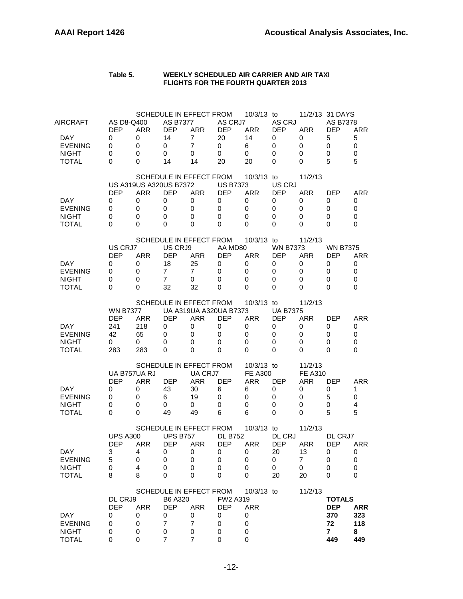| Table 5. | WEEKLY SCHEDULED AIR CARRIER AND AIR TAXI  |
|----------|--------------------------------------------|
|          | <b>FLIGHTS FOR THE FOURTH QUARTER 2013</b> |

| <b>AIRCRAFT</b><br>DAY.<br><b>EVENING</b><br><b>NIGHT</b><br><b>TOTAL</b> | AS D8-Q400<br><b>DEP</b><br>0<br>0<br>0<br>0           | <b>ARR</b><br>0<br>0<br>0<br>0                                            | <b>AS B7377</b><br><b>DEP</b><br>14<br>0<br>0<br>14                   | SCHEDULE IN EFFECT FROM<br><b>ARR</b><br>$\overline{7}$<br>$\overline{7}$<br>0<br>14 | AS CRJ7<br><b>DEP</b><br>20<br>$\mathbf 0$<br>$\Omega$<br>20                 | 10/3/13 to<br><b>ARR</b><br>14<br>6<br>0<br>20                            | AS CRJ<br><b>DEP</b><br>0<br>0<br>0<br>0             | <b>ARR</b><br>0<br>0<br>0<br>$\Omega$                       | 11/2/13 31 DAYS<br><b>AS B7378</b><br><b>DEP</b><br>5<br>0<br>0<br>5 | <b>ARR</b><br>5<br>0<br>0<br>5       |
|---------------------------------------------------------------------------|--------------------------------------------------------|---------------------------------------------------------------------------|-----------------------------------------------------------------------|--------------------------------------------------------------------------------------|------------------------------------------------------------------------------|---------------------------------------------------------------------------|------------------------------------------------------|-------------------------------------------------------------|----------------------------------------------------------------------|--------------------------------------|
| DAY.<br><b>EVENING</b><br><b>NIGHT</b><br><b>TOTAL</b>                    | <b>DEP</b><br>0<br>0<br>0<br>0                         | <b>US A319US A320US B7372</b><br><b>ARR</b><br>0<br>$\mathbf 0$<br>0<br>0 | <b>DEP</b><br>0<br>0<br>0<br>$\Omega$                                 | SCHEDULE IN EFFECT FROM<br><b>ARR</b><br>0<br>0<br>0<br>0                            | <b>US B7373</b><br><b>DEP</b><br>0<br>$\mathbf 0$<br>$\mathbf 0$<br>$\Omega$ | $10/3/13$ to<br><b>ARR</b><br>0<br>$\mathbf 0$<br>$\mathbf 0$<br>$\Omega$ | US CRJ<br><b>DEP</b><br>0<br>0<br>0<br>$\Omega$      | 11/2/13<br><b>ARR</b><br>0<br>0<br>0<br>$\Omega$            | <b>DEP</b><br>0<br>0<br>0<br>0                                       | <b>ARR</b><br>0<br>0<br>0<br>0       |
| DAY.<br><b>EVENING</b><br><b>NIGHT</b><br><b>TOTAL</b>                    | US CRJ7<br><b>DEP</b><br>0<br>0<br>0<br>0              | <b>ARR</b><br>0<br>0<br>0<br>0                                            | US CRJ9<br><b>DEP</b><br>18<br>$\overline{7}$<br>$\overline{7}$<br>32 | SCHEDULE IN EFFECT FROM<br><b>ARR</b><br>25<br>$\overline{7}$<br>0<br>32             | AA MD80<br><b>DEP</b><br>0<br>0<br>0<br>0                                    | 10/3/13 to<br><b>ARR</b><br>0<br>$\mathbf 0$<br>0<br>$\Omega$             | <b>WN B7373</b><br><b>DEP</b><br>0<br>0<br>0<br>0    | 11/2/13<br><b>ARR</b><br>0<br>0<br>0<br>0                   | <b>WN B7375</b><br><b>DEP</b><br>0<br>0<br>0<br>$\Omega$             | <b>ARR</b><br>0<br>0<br>0<br>0       |
| DAY<br><b>EVENING</b><br><b>NIGHT</b><br><b>TOTAL</b>                     | <b>WN B7377</b><br><b>DEP</b><br>241<br>42<br>0<br>283 | <b>ARR</b><br>218<br>65<br>0<br>283                                       | <b>DEP</b><br>0<br>0<br>0<br>0                                        | SCHEDULE IN EFFECT FROM<br><b>ARR</b><br>0<br>0<br>0<br>0                            | UA A319UA A320UA B7373<br><b>DEP</b><br>0<br>0<br>$\mathbf 0$<br>0           | 10/3/13 to<br><b>ARR</b><br>0<br>0<br>0<br>$\Omega$                       | <b>UA B7375</b><br><b>DEP</b><br>0<br>0<br>0<br>0    | 11/2/13<br><b>ARR</b><br>0<br>0<br>0<br>0                   | <b>DEP</b><br>0<br>0<br>0<br>0                                       | <b>ARR</b><br>0<br>0<br>0<br>0       |
| DAY.<br><b>EVENING</b><br><b>NIGHT</b><br><b>TOTAL</b>                    | UA B757UA RJ<br><b>DEP</b><br>0<br>0<br>0<br>0         | <b>ARR</b><br>0<br>0<br>0<br>0                                            | <b>DEP</b><br>43<br>6<br>0<br>49                                      | SCHEDULE IN EFFECT FROM<br>UA CRJ7<br><b>ARR</b><br>30<br>19<br>0<br>49              | <b>DEP</b><br>6<br>0<br>$\mathbf 0$<br>6                                     | 10/3/13 to<br><b>FE A300</b><br><b>ARR</b><br>6<br>0<br>0<br>6            | <b>DEP</b><br>0<br>0<br>0<br>0                       | 11/2/13<br><b>FE A310</b><br><b>ARR</b><br>0<br>0<br>0<br>0 | <b>DEP</b><br>0<br>5<br>0<br>5                                       | <b>ARR</b><br>1<br>0<br>4<br>5       |
| DAY<br><b>EVENING</b><br><b>NIGHT</b><br><b>TOTAL</b>                     | <b>UPS A300</b><br><b>DEP</b><br>3<br>5<br>0<br>8      | <b>ARR</b><br>4<br>0<br>4<br>8                                            | <b>UPS B757</b><br><b>DEP</b><br>0<br>0<br>$\pmb{0}$<br>0             | SCHEDULE IN EFFECT FROM<br><b>ARR</b><br>0<br>0<br>0<br>0                            | <b>DL B752</b><br><b>DEP</b><br>0<br>0<br>0<br>0                             | 10/3/13 to<br><b>ARR</b><br>0<br>0<br>0<br>0                              | DL CRJ<br><b>DEP</b><br>20<br>0<br>$\mathbf 0$<br>20 | 11/2/13<br><b>ARR</b><br>13<br>$\overline{7}$<br>0<br>20    | DL CRJ7<br><b>DEP</b><br>0<br>0<br>0<br>0                            | <b>ARR</b><br>0<br>0<br>0<br>0       |
| DAY<br><b>EVENING</b><br><b>NIGHT</b><br><b>TOTAL</b>                     | DL CRJ9<br><b>DEP</b><br>0<br>0<br>0<br>0              | <b>ARR</b><br>0<br>0<br>0<br>0                                            | B6 A320<br><b>DEP</b><br>0<br>$\overline{7}$<br>0<br>$\overline{7}$   | SCHEDULE IN EFFECT FROM<br><b>ARR</b><br>0<br>$\overline{7}$<br>0<br>$\overline{7}$  | FW2 A319<br><b>DEP</b><br>0<br>0<br>0<br>0                                   | 10/3/13 to<br><b>ARR</b><br>0<br>0<br>0<br>0                              |                                                      | 11/2/13                                                     | <b>TOTALS</b><br><b>DEP</b><br>370<br>72<br>$\mathbf{7}$<br>449      | <b>ARR</b><br>323<br>118<br>8<br>449 |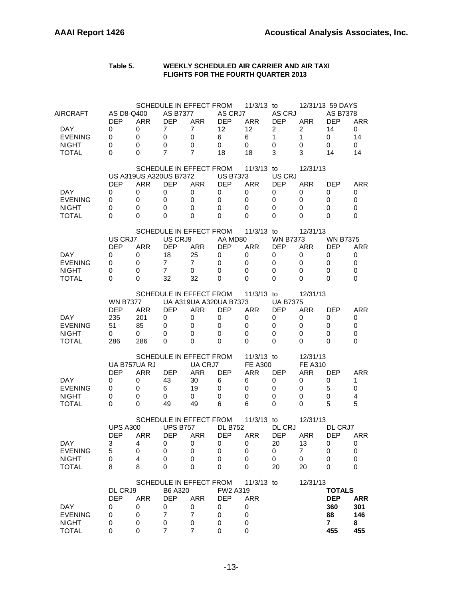#### **Table 5. WEEKLY SCHEDULED AIR CARRIER AND AIR TAXI FLIGHTS FOR THE FOURTH QUARTER 2013**

| AIRCRAFT       | AS D8-Q400      |            | <b>AS B7377</b>        | SCHEDULE IN EFFECT FROM | AS CRJ7                | 11/3/13 to     | AS CRJ          |                | 12/31/13 59 DAYS<br><b>AS B7378</b> |                |
|----------------|-----------------|------------|------------------------|-------------------------|------------------------|----------------|-----------------|----------------|-------------------------------------|----------------|
|                | <b>DEP</b>      | <b>ARR</b> | <b>DEP</b>             | <b>ARR</b>              | <b>DEP</b>             | <b>ARR</b>     | <b>DEP</b>      | <b>ARR</b>     | <b>DEP</b>                          | <b>ARR</b>     |
| DAY.           | 0               | 0          | 7                      | $\overline{7}$          | 12                     | 12             | $\overline{2}$  | 2              | 14                                  | 0              |
| <b>EVENING</b> | 0               | 0          | 0                      | 0                       | 6                      | 6              | $\mathbf{1}$    | 1              | 0                                   | 14             |
| <b>NIGHT</b>   | 0               | 0          | 0                      | 0                       | $\mathbf 0$            | 0              | 0               | 0              | 0                                   | 0              |
| <b>TOTAL</b>   | 0               | 0          | 7                      | 7                       | 18                     | 18             | 3               | 3              | 14                                  | 14             |
|                |                 |            |                        | SCHEDULE IN EFFECT FROM |                        | $11/3/13$ to   |                 | 12/31/13       |                                     |                |
|                |                 |            | US A319US A320US B7372 |                         | <b>US B7373</b>        |                | US CRJ          |                |                                     |                |
|                | <b>DEP</b>      | ARR        | <b>DEP</b>             | <b>ARR</b>              | <b>DEP</b>             | <b>ARR</b>     | <b>DEP</b>      | <b>ARR</b>     | <b>DEP</b>                          | <b>ARR</b>     |
| DAY.           | 0               | 0          | 0                      | 0                       | 0                      | 0              | 0               | 0              | 0                                   | 0              |
| <b>EVENING</b> | 0               | 0          | 0                      | 0                       | 0                      | 0              | 0               | 0              | 0                                   | 0              |
| <b>NIGHT</b>   | 0               | 0          | 0                      | 0                       | $\Omega$               | 0              | 0               | 0              | 0                                   | 0              |
| <b>TOTAL</b>   | 0               | 0          | 0                      | 0                       | $\Omega$               | 0              | 0               | 0              | 0                                   | 0              |
|                |                 |            |                        | SCHEDULE IN EFFECT FROM |                        | $11/3/13$ to   |                 | 12/31/13       |                                     |                |
|                | US CRJ7         |            | US CRJ9                |                         | AA MD80                |                | <b>WN B7373</b> |                | <b>WN B7375</b>                     |                |
|                | <b>DEP</b>      | <b>ARR</b> | <b>DEP</b>             | <b>ARR</b>              | <b>DEP</b>             | <b>ARR</b>     | <b>DEP</b>      | <b>ARR</b>     | DEP                                 | <b>ARR</b>     |
| DAY.           | 0               | 0          | 18                     | 25                      | 0                      | 0              | 0               | 0              | 0                                   | 0              |
| <b>EVENING</b> | 0               | 0          | 7                      | $\overline{7}$          | 0                      | 0              | 0               | 0              | 0                                   | 0              |
| <b>NIGHT</b>   | 0               | 0          | 7                      | 0                       | $\Omega$               | 0              | 0               | 0              | 0                                   | 0              |
| <b>TOTAL</b>   | 0               | 0          | 32                     | 32                      | 0                      | 0              | 0               | 0              | 0                                   | 0              |
|                |                 |            |                        | SCHEDULE IN EFFECT FROM |                        | 11/3/13 to     |                 | 12/31/13       |                                     |                |
|                | <b>WN B7377</b> |            |                        |                         | UA A319UA A320UA B7373 |                | <b>UA B7375</b> |                |                                     |                |
|                | <b>DEP</b>      | <b>ARR</b> | <b>DEP</b>             | <b>ARR</b>              | <b>DEP</b>             | <b>ARR</b>     | <b>DEP</b>      | <b>ARR</b>     | <b>DEP</b>                          | <b>ARR</b>     |
| DAY.           | 235             | 201        | 0                      | 0                       | 0                      | 0              | 0               | 0              | 0                                   | 0              |
| <b>EVENING</b> | 51              | 85         | 0                      | 0                       | 0                      | 0              | 0               | 0              | 0                                   | 0              |
| <b>NIGHT</b>   | 0               | 0          | 0                      | 0                       | $\mathbf 0$            | 0              | 0               | 0              | 0                                   | 0              |
| <b>TOTAL</b>   | 286             | 286        | 0                      | 0                       | 0                      | $\Omega$       | 0               | 0              | $\Omega$                            | 0              |
|                |                 |            |                        | SCHEDULE IN EFFECT FROM |                        | 11/3/13 to     |                 | 12/31/13       |                                     |                |
|                | UA B757UA RJ    |            |                        | UA CRJ7                 |                        | <b>FE A300</b> |                 | <b>FE A310</b> |                                     |                |
|                | <b>DEP</b>      | <b>ARR</b> | <b>DEP</b>             | <b>ARR</b>              | <b>DEP</b>             | <b>ARR</b>     | <b>DEP</b>      | ARR            | <b>DEP</b>                          | <b>ARR</b>     |
| DAY.           | 0               | 0          | 43                     | 30                      | 6                      | 6              | 0               | 0              | 0                                   | 1              |
| <b>EVENING</b> | 0               | 0          | 6                      | 19                      | 0                      | 0              | 0               | 0              | 5                                   | 0              |
| <b>NIGHT</b>   | 0               | 0          | 0                      | 0                       | 0                      | 0              | 0               | 0              | 0                                   | $\overline{4}$ |
| TOTAL          | 0               | 0          | 49                     | 49                      | 6                      | 6              | 0               | 0              | 5                                   | 5              |
|                |                 |            |                        | SCHEDULE IN EFFECT FROM |                        | 11/3/13 to     |                 | 12/31/13       |                                     |                |
|                | <b>UPS A300</b> |            | <b>UPS B757</b>        |                         | <b>DL B752</b>         |                | DL CRJ          |                | DL CRJ7                             |                |
|                | <b>DEP</b>      | ARR        | <b>DEP</b>             | <b>ARR</b>              | <b>DEP</b>             | ARR            | <b>DEP</b>      | <b>ARR</b>     | <b>DEP</b>                          | ARR.           |
| DAY            | З               | 4          | 0                      | 0                       | 0                      | 0              | 20              | 13             | 0                                   | 0              |
| <b>EVENING</b> | 5               | 0          | 0                      | 0                       | 0                      | 0              | 0               | $\overline{7}$ | 0                                   | 0              |
| <b>NIGHT</b>   | 0               | 4          | 0                      | 0                       | 0                      | 0              | 0               | 0              | 0                                   | 0              |
| <b>TOTAL</b>   | 8               | 8          | 0                      | 0                       | $\Omega$               | 0              | 20              | 20             | 0                                   | 0              |
|                |                 |            |                        | SCHEDULE IN EFFECT FROM |                        | $11/3/13$ to   |                 | 12/31/13       |                                     |                |
|                | DL CRJ9         |            | B6 A320                |                         | FW2 A319               |                |                 |                | <b>TOTALS</b>                       |                |
|                | <b>DEP</b>      | <b>ARR</b> | <b>DEP</b>             | <b>ARR</b>              | <b>DEP</b>             | <b>ARR</b>     |                 |                | <b>DEP</b>                          | <b>ARR</b>     |
| <b>DAY</b>     | 0               | 0          | 0                      | 0                       | 0                      | 0              |                 |                | 360                                 | 301            |
| <b>EVENING</b> | 0               | 0          | 7                      | $\overline{7}$          | 0                      | 0              |                 |                | 88                                  | 146            |
| <b>NIGHT</b>   | 0               | 0          | 0                      | 0                       | 0                      | 0              |                 |                | $\overline{7}$                      | 8              |
| <b>TOTAL</b>   | 0               | 0          | 7                      | 7                       | 0                      | 0              |                 |                | 455                                 | 455            |
|                |                 |            |                        |                         |                        |                |                 |                |                                     |                |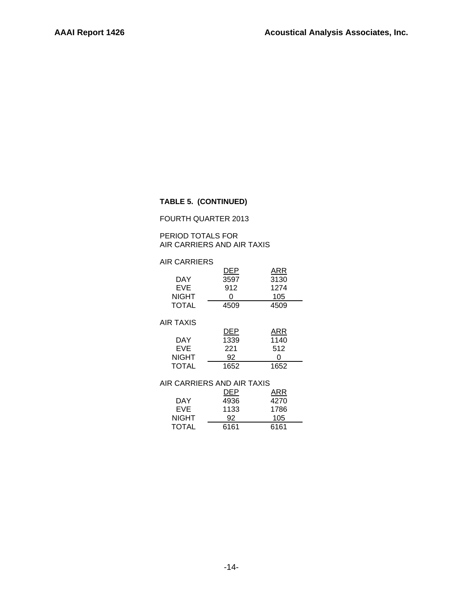#### **TABLE 5. (CONTINUED)**

#### FOURTH QUARTER 2013

#### PERIOD TOTALS FOR AIR CARRIERS AND AIR TAXIS

| <b>AIR CARRIERS</b>        |      |         |
|----------------------------|------|---------|
|                            | DEP  | ARR     |
| DAY                        | 3597 | 3130    |
| EVE                        | 912  | 1274    |
| <b>NIGHT</b>               | n    | 105     |
| <b>TOTAL</b>               | 4509 | 4509    |
|                            |      |         |
| <b>AIR TAXIS</b>           |      |         |
|                            | DEP  | ARR     |
| DAY                        | 1339 | 1140    |
| EVE                        | 221  | 512     |
| <b>NIGHT</b>               | 92   | ი       |
| <b>TOTAL</b>               | 1652 | 1652    |
|                            |      |         |
| AIR CARRIERS AND AIR TAXIS |      |         |
|                            |      | ARR     |
| n 1 1 /                    | ,,,, | , , , , |

|              | DEP  | ARR  |
|--------------|------|------|
| DAY          | 4936 | 4270 |
| EVE.         | 1133 | 1786 |
| <b>NIGHT</b> | 92   | 105  |
| <b>TOTAL</b> | 6161 | 6161 |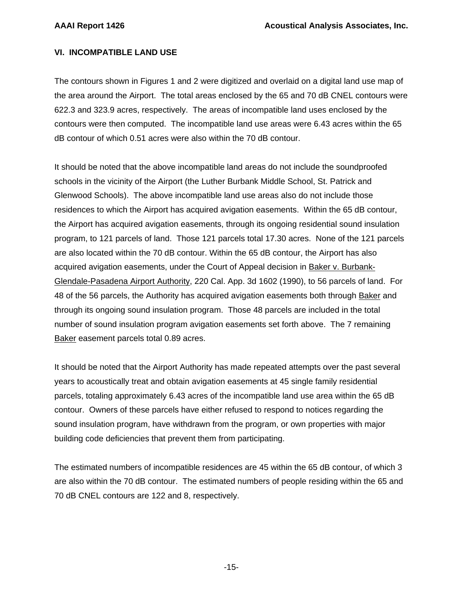#### **VI. INCOMPATIBLE LAND USE**

The contours shown in Figures 1 and 2 were digitized and overlaid on a digital land use map of the area around the Airport. The total areas enclosed by the 65 and 70 dB CNEL contours were 622.3 and 323.9 acres, respectively. The areas of incompatible land uses enclosed by the contours were then computed. The incompatible land use areas were 6.43 acres within the 65 dB contour of which 0.51 acres were also within the 70 dB contour.

It should be noted that the above incompatible land areas do not include the soundproofed schools in the vicinity of the Airport (the Luther Burbank Middle School, St. Patrick and Glenwood Schools). The above incompatible land use areas also do not include those residences to which the Airport has acquired avigation easements. Within the 65 dB contour, the Airport has acquired avigation easements, through its ongoing residential sound insulation program, to 121 parcels of land. Those 121 parcels total 17.30 acres. None of the 121 parcels are also located within the 70 dB contour. Within the 65 dB contour, the Airport has also acquired avigation easements, under the Court of Appeal decision in Baker v. Burbank-Glendale-Pasadena Airport Authority, 220 Cal. App. 3d 1602 (1990), to 56 parcels of land. For 48 of the 56 parcels, the Authority has acquired avigation easements both through Baker and through its ongoing sound insulation program. Those 48 parcels are included in the total number of sound insulation program avigation easements set forth above. The 7 remaining Baker easement parcels total 0.89 acres.

It should be noted that the Airport Authority has made repeated attempts over the past several years to acoustically treat and obtain avigation easements at 45 single family residential parcels, totaling approximately 6.43 acres of the incompatible land use area within the 65 dB contour. Owners of these parcels have either refused to respond to notices regarding the sound insulation program, have withdrawn from the program, or own properties with major building code deficiencies that prevent them from participating.

The estimated numbers of incompatible residences are 45 within the 65 dB contour, of which 3 are also within the 70 dB contour. The estimated numbers of people residing within the 65 and 70 dB CNEL contours are 122 and 8, respectively.

-15-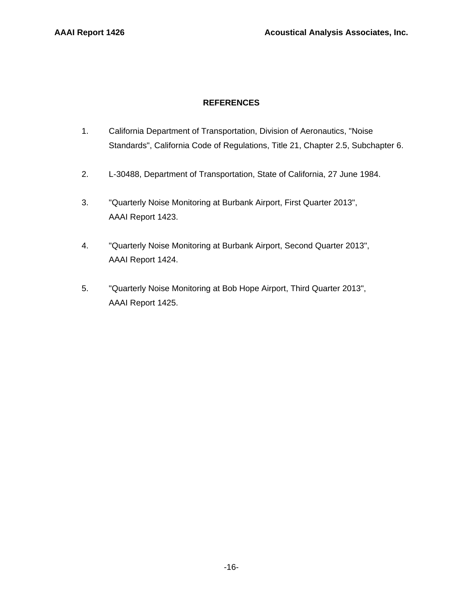#### **REFERENCES**

- 1. California Department of Transportation, Division of Aeronautics, "Noise Standards", California Code of Regulations, Title 21, Chapter 2.5, Subchapter 6.
- 2. L-30488, Department of Transportation, State of California, 27 June 1984.
- 3. "Quarterly Noise Monitoring at Burbank Airport, First Quarter 2013", AAAI Report 1423.
- 4. "Quarterly Noise Monitoring at Burbank Airport, Second Quarter 2013", AAAI Report 1424.
- 5. "Quarterly Noise Monitoring at Bob Hope Airport, Third Quarter 2013", AAAI Report 1425.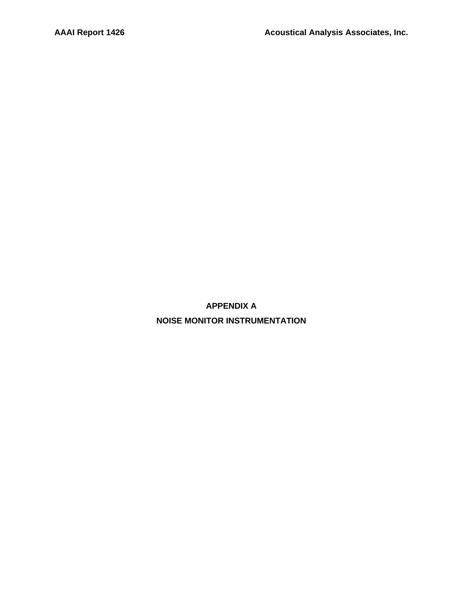**APPENDIX A NOISE MONITOR INSTRUMENTATION**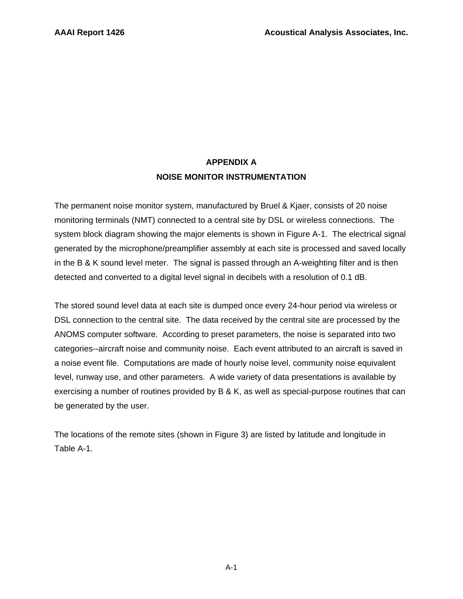# **APPENDIX A NOISE MONITOR INSTRUMENTATION**

The permanent noise monitor system, manufactured by Bruel & Kjaer, consists of 20 noise monitoring terminals (NMT) connected to a central site by DSL or wireless connections. The system block diagram showing the major elements is shown in Figure A-1. The electrical signal generated by the microphone/preamplifier assembly at each site is processed and saved locally in the B & K sound level meter. The signal is passed through an A-weighting filter and is then detected and converted to a digital level signal in decibels with a resolution of 0.1 dB.

The stored sound level data at each site is dumped once every 24-hour period via wireless or DSL connection to the central site. The data received by the central site are processed by the ANOMS computer software. According to preset parameters, the noise is separated into two categories--aircraft noise and community noise. Each event attributed to an aircraft is saved in a noise event file. Computations are made of hourly noise level, community noise equivalent level, runway use, and other parameters. A wide variety of data presentations is available by exercising a number of routines provided by B & K, as well as special-purpose routines that can be generated by the user.

The locations of the remote sites (shown in Figure 3) are listed by latitude and longitude in Table A-1.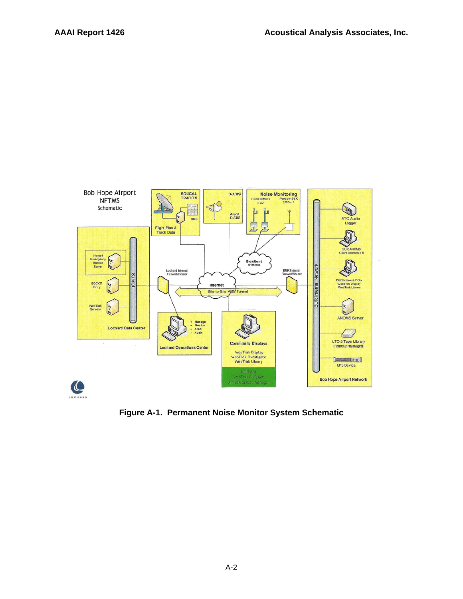

**Figure A-1. Permanent Noise Monitor System Schematic**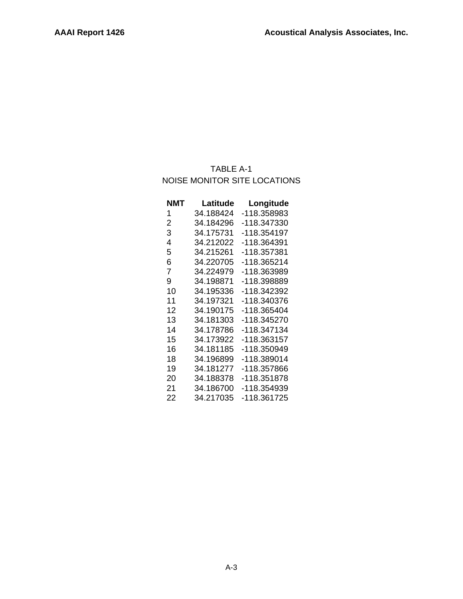# TABLE A-1 NOISE MONITOR SITE LOCATIONS

| NMT | Latitude  | Longitude   |
|-----|-----------|-------------|
| 1   | 34.188424 | -118.358983 |
| 2   | 34.184296 | -118.347330 |
| 3   | 34.175731 | -118.354197 |
| 4   | 34.212022 | -118.364391 |
| 5   | 34.215261 | -118.357381 |
| 6   | 34.220705 | -118.365214 |
| 7   | 34.224979 | -118.363989 |
| 9   | 34.198871 | -118.398889 |
| 10  | 34.195336 | -118.342392 |
| 11  | 34.197321 | -118.340376 |
| 12  | 34.190175 | -118.365404 |
| 13  | 34.181303 | -118.345270 |
| 14  | 34.178786 | -118.347134 |
| 15  | 34.173922 | -118.363157 |
| 16  | 34.181185 | -118.350949 |
| 18  | 34.196899 | -118.389014 |
| 19  | 34.181277 | -118.357866 |
| 20  | 34.188378 | -118.351878 |
| 21  | 34.186700 | -118.354939 |
| 22  | 34.217035 | -118.361725 |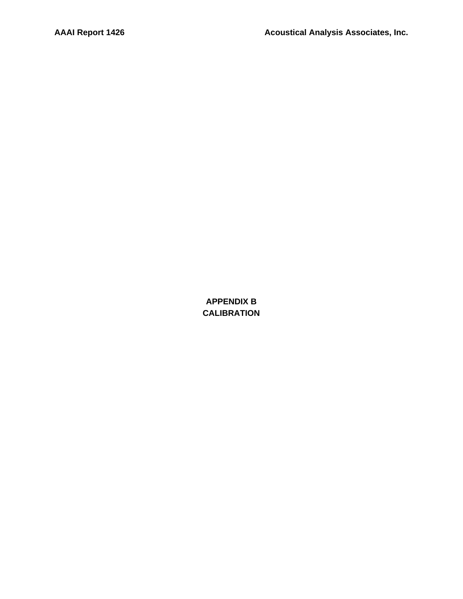**APPENDIX B CALIBRATION**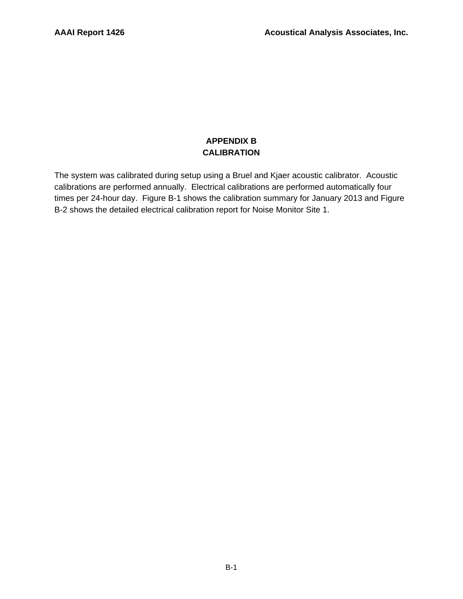## **APPENDIX B CALIBRATION**

The system was calibrated during setup using a Bruel and Kjaer acoustic calibrator. Acoustic calibrations are performed annually. Electrical calibrations are performed automatically four times per 24-hour day. Figure B-1 shows the calibration summary for January 2013 and Figure B-2 shows the detailed electrical calibration report for Noise Monitor Site 1.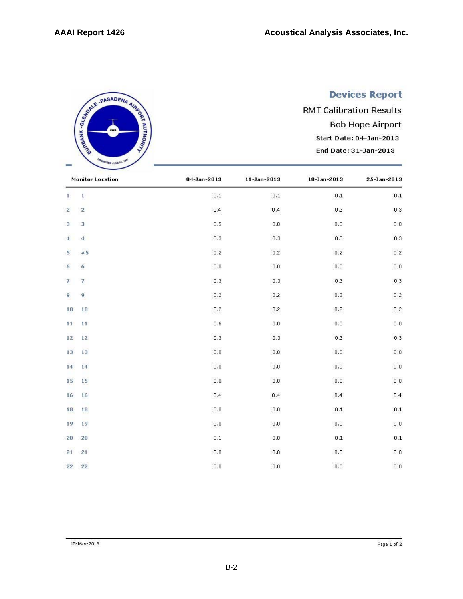# **Devices Report**

**RMT Calibration Results Bob Hope Airport** Start Date: 04-Jan-2013 End Date: 31-Jan-2013

|                | <b>Monitor Location</b>  | 04-Jan-2013 | $11 - Jan - 2013$ | 18-Jan-2013    | 25-Jan-2013  |
|----------------|--------------------------|-------------|-------------------|----------------|--------------|
| $\mathbf{I}$   | $1$                      | $0.1\,$     | $\mathbf{0.1}$    | $\mathbf{0.1}$ | $0.1\,$      |
| $\mathbf{Z}$   | $\overline{2}$           | 0A          | $0.4$             | 0.3            | $_{0.3}$     |
| 3.             | 3                        | 0.5         | 0.0               | 0.0            | 0.0          |
| $\overline{4}$ | $\overline{4}$           | $_{0.3}$    | $_{0.3}$          | 0.3            | 0.3          |
| 5 <sub>1</sub> | #5                       | 0.2         | 0.2               | 0.2            | 0.2          |
| 6              | 6                        | 0.0         | $0.0\,$           | 0.0            | 0.0          |
| $\overline{I}$ | $\overline{\mathcal{L}}$ | 0.3         | 0.3               | 0.3            | $0.3\,$      |
| 9              | $\overline{9}$           | 0.2         | 0.2               | 0.2            | $0.2\,$      |
| 10             | 10                       | 0.2         | 0.2               | 0.2            | 0.2          |
| 11             | 11                       | 0.6         | 0.0               | 0.0            | 0.0          |
| 12             | $12 \overline{ }$        | $_{0.3}$    | $_{0.3}$          | 0.3            | 0.3          |
| 13             | 13                       | $_{0.0}$    | 0.0               | 0.0            | $_{0.0}$     |
| 14             | 14                       | 0.0         | 0.0               | 0.0            | $_{0.0}$     |
| 15             | 15                       | 0.0         | 0.0               | 0.0            | $_{0.0}$     |
| 16             | 16                       | 0A          | 0.4               | 0.4            | 0,4          |
| 18             | 18                       | $_{0.0}$    | 0.0               | $0.1\,$        | $_{\rm 0.1}$ |
| 19             | 19                       | 0.0         | 0.0               | $_{0.0}$       | $_{0.0}$     |
| 20             | 20                       | 0.1         | 0.0               | 0.1            | $0.1\,$      |
| 21             | 21                       | $_{0.0}$    | 0.0               | 0.0            | $_{0.0}$     |
| 22             | 22                       | 0.0         | 0.0               | $_{0.0}$       | 0.0          |